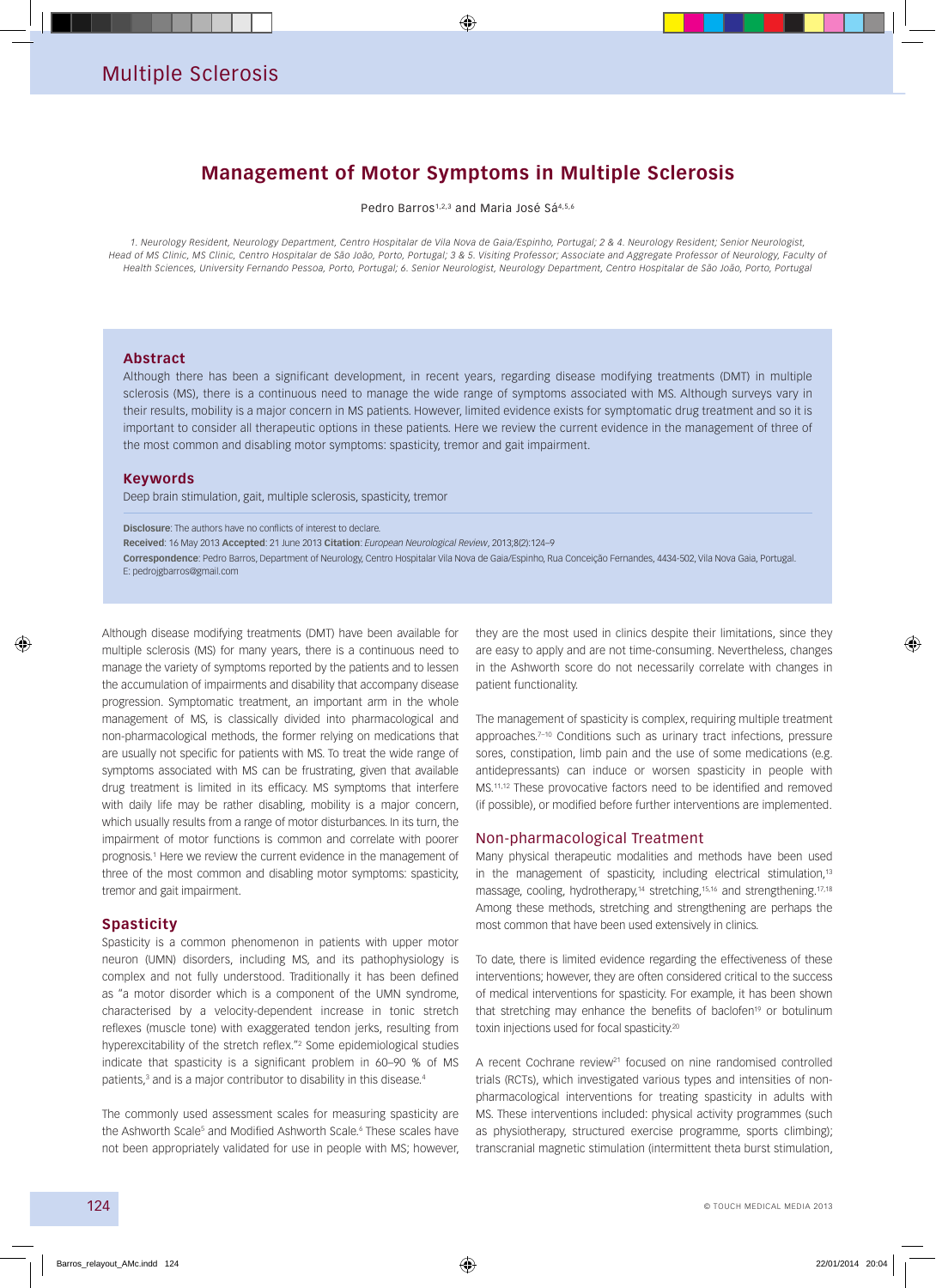## **Management of Motor Symptoms in Multiple Sclerosis**

Pedro Barros1,2,3 and Maria José Sá4,5,6

*1. Neurology Resident, Neurology Department, Centro Hospitalar de Vila Nova de Gaia/Espinho, Portugal; 2 & 4. Neurology Resident; Senior Neurologist,*  Head of MS Clinic, MS Clinic, Centro Hospitalar de São João, Porto, Portugal; 3 & 5. Visiting Professor; Associate and Aggregate Professor of Neurology, Faculty of *Health Sciences, University Fernando Pessoa, Porto, Portugal; 6. Senior Neurologist, Neurology Department, Centro Hospitalar de São João, Porto, Portugal*

#### **Abstract**

Although there has been a significant development, in recent years, regarding disease modifying treatments (DMT) in multiple sclerosis (MS), there is a continuous need to manage the wide range of symptoms associated with MS. Although surveys vary in their results, mobility is a major concern in MS patients. However, limited evidence exists for symptomatic drug treatment and so it is important to consider all therapeutic options in these patients. Here we review the current evidence in the management of three of the most common and disabling motor symptoms: spasticity, tremor and gait impairment.

### **Keywords**

Deep brain stimulation, gait, multiple sclerosis, spasticity, tremor

**Disclosure**: The authors have no conflicts of interest to declare.

**Received**: 16 May 2013 **Accepted**: 21 June 2013 **Citation**: *European Neurological Review*, 2013;8(2):124–9

**Correspondence**: Pedro Barros, Department of Neurology, Centro Hospitalar Vila Nova de Gaia/Espinho, Rua Conceição Fernandes, 4434-502, Vila Nova Gaia, Portugal. E: pedrojgbarros@gmail.com

Although disease modifying treatments (DMT) have been available for multiple sclerosis (MS) for many years, there is a continuous need to manage the variety of symptoms reported by the patients and to lessen the accumulation of impairments and disability that accompany disease progression. Symptomatic treatment, an important arm in the whole management of MS, is classically divided into pharmacological and non-pharmacological methods, the former relying on medications that are usually not specific for patients with MS. To treat the wide range of symptoms associated with MS can be frustrating, given that available drug treatment is limited in its efficacy. MS symptoms that interfere with daily life may be rather disabling, mobility is a major concern, which usually results from a range of motor disturbances. In its turn, the impairment of motor functions is common and correlate with poorer prognosis.1 Here we review the current evidence in the management of three of the most common and disabling motor symptoms: spasticity, tremor and gait impairment.

### **Spasticity**

Spasticity is a common phenomenon in patients with upper motor neuron (UMN) disorders, including MS, and its pathophysiology is complex and not fully understood. Traditionally it has been defined as "a motor disorder which is a component of the UMN syndrome, characterised by a velocity-dependent increase in tonic stretch reflexes (muscle tone) with exaggerated tendon jerks, resulting from hyperexcitability of the stretch reflex."2 Some epidemiological studies indicate that spasticity is a significant problem in 60–90 % of MS patients,<sup>3</sup> and is a major contributor to disability in this disease.<sup>4</sup>

The commonly used assessment scales for measuring spasticity are the Ashworth Scale<sup>s</sup> and Modified Ashworth Scale.<sup>6</sup> These scales have not been appropriately validated for use in people with MS; however,

they are the most used in clinics despite their limitations, since they are easy to apply and are not time-consuming. Nevertheless, changes in the Ashworth score do not necessarily correlate with changes in patient functionality.

The management of spasticity is complex, requiring multiple treatment approaches.<sup>7-10</sup> Conditions such as urinary tract infections, pressure sores, constipation, limb pain and the use of some medications (e.g. antidepressants) can induce or worsen spasticity in people with MS.11,12 These provocative factors need to be identified and removed (if possible), or modified before further interventions are implemented.

### Non-pharmacological Treatment

Many physical therapeutic modalities and methods have been used in the management of spasticity, including electrical stimulation,<sup>13</sup> massage, cooling, hydrotherapy,<sup>14</sup> stretching,<sup>15,16</sup> and strengthening.<sup>17,18</sup> Among these methods, stretching and strengthening are perhaps the most common that have been used extensively in clinics.

To date, there is limited evidence regarding the effectiveness of these interventions; however, they are often considered critical to the success of medical interventions for spasticity. For example, it has been shown that stretching may enhance the benefits of baclofen<sup>19</sup> or botulinum toxin injections used for focal spasticity.20

A recent Cochrane review<sup>21</sup> focused on nine randomised controlled trials (RCTs), which investigated various types and intensities of nonpharmacological interventions for treating spasticity in adults with MS. These interventions included: physical activity programmes (such as physiotherapy, structured exercise programme, sports climbing); transcranial magnetic stimulation (intermittent theta burst stimulation,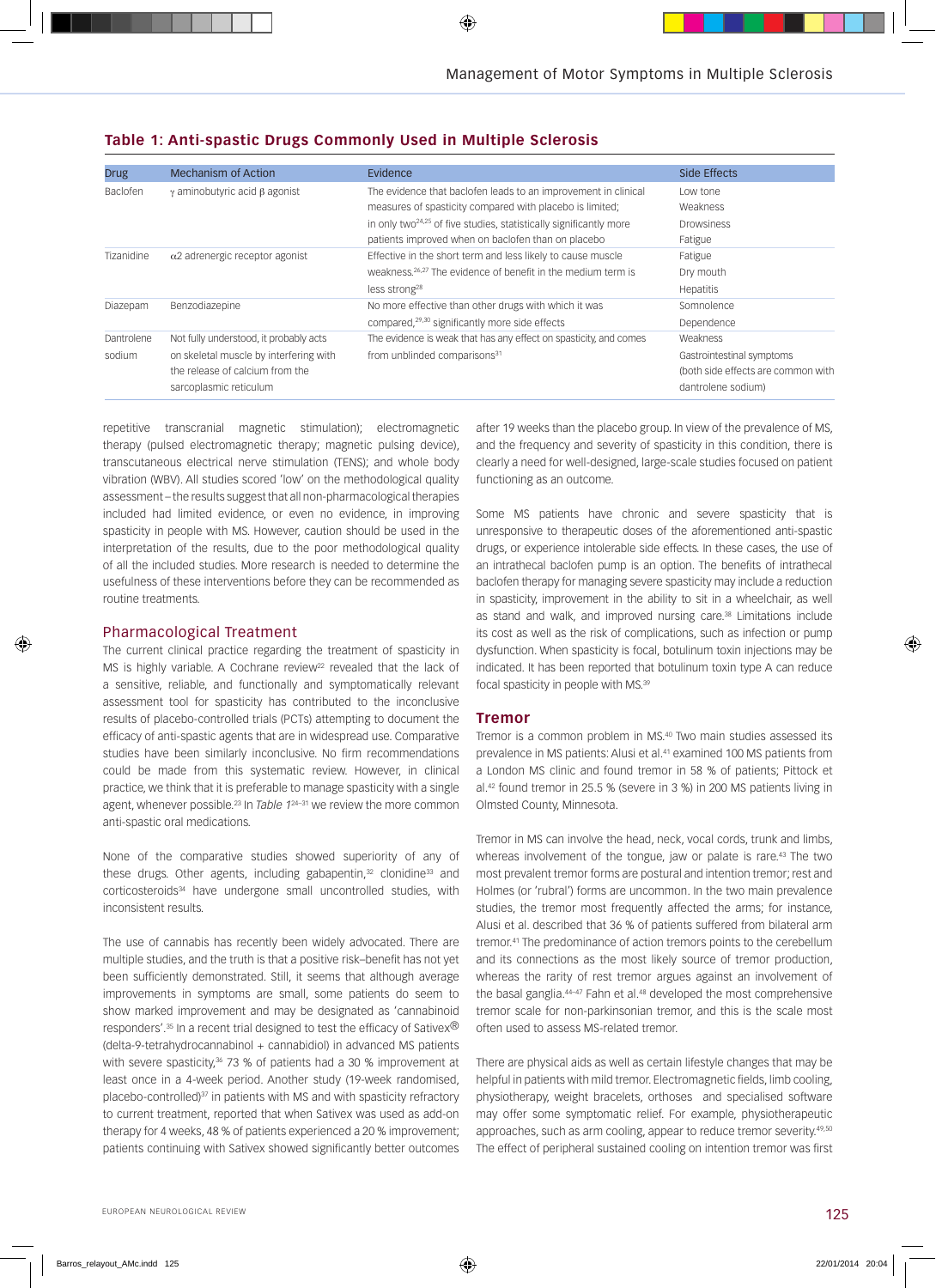| <b>Drug</b> | <b>Mechanism of Action</b>                 | Evidence                                                                 | Side Effects                       |
|-------------|--------------------------------------------|--------------------------------------------------------------------------|------------------------------------|
| Baclofen    | $\gamma$ aminobutyric acid $\beta$ agonist | The evidence that baclofen leads to an improvement in clinical           | Low tone                           |
|             |                                            | measures of spasticity compared with placebo is limited;                 | Weakness                           |
|             |                                            | in only two $24.25$ of five studies, statistically significantly more    | <b>Drowsiness</b>                  |
|             |                                            | patients improved when on baclofen than on placebo                       | Fatigue                            |
| Tizanidine  | $\alpha$ 2 adrenergic receptor agonist     | Effective in the short term and less likely to cause muscle              | Fatigue                            |
|             |                                            | weakness. <sup>26,27</sup> The evidence of benefit in the medium term is | Dry mouth                          |
|             |                                            | less strong <sup>28</sup>                                                | Hepatitis                          |
| Diazepam    | Benzodiazepine                             | No more effective than other drugs with which it was                     | Somnolence                         |
|             |                                            | compared, <sup>29,30</sup> significantly more side effects               | Dependence                         |
| Dantrolene  | Not fully understood, it probably acts     | The evidence is weak that has any effect on spasticity, and comes        | Weakness                           |
| sodium      | on skeletal muscle by interfering with     | from unblinded comparisons <sup>31</sup>                                 | Gastrointestinal symptoms          |
|             | the release of calcium from the            |                                                                          | (both side effects are common with |
|             | sarcoplasmic reticulum                     |                                                                          | dantrolene sodium)                 |

### **Table 1: Anti-spastic Drugs Commonly Used in Multiple Sclerosis**

repetitive transcranial magnetic stimulation); electromagnetic therapy (pulsed electromagnetic therapy; magnetic pulsing device), transcutaneous electrical nerve stimulation (TENS); and whole body vibration (WBV). All studies scored 'low' on the methodological quality assessment – the results suggest that all non-pharmacological therapies included had limited evidence, or even no evidence, in improving spasticity in people with MS. However, caution should be used in the interpretation of the results, due to the poor methodological quality of all the included studies. More research is needed to determine the usefulness of these interventions before they can be recommended as routine treatments.

### Pharmacological Treatment

The current clinical practice regarding the treatment of spasticity in MS is highly variable. A Cochrane review<sup>22</sup> revealed that the lack of a sensitive, reliable, and functionally and symptomatically relevant assessment tool for spasticity has contributed to the inconclusive results of placebo-controlled trials (PCTs) attempting to document the efficacy of anti-spastic agents that are in widespread use. Comparative studies have been similarly inconclusive. No firm recommendations could be made from this systematic review. However, in clinical practice, we think that it is preferable to manage spasticity with a single agent, whenever possible.23 In *Table 1*24–31 we review the more common anti-spastic oral medications.

None of the comparative studies showed superiority of any of these drugs. Other agents, including gabapentin,<sup>32</sup> clonidine<sup>33</sup> and corticosteroids<sup>34</sup> have undergone small uncontrolled studies, with inconsistent results.

The use of cannabis has recently been widely advocated. There are multiple studies, and the truth is that a positive risk–benefit has not yet been sufficiently demonstrated. Still, it seems that although average improvements in symptoms are small, some patients do seem to show marked improvement and may be designated as 'cannabinoid responders'.<sup>35</sup> In a recent trial designed to test the efficacy of Sativex<sup>®</sup> (delta-9-tetrahydrocannabinol + cannabidiol) in advanced MS patients with severe spasticity,<sup>36</sup> 73 % of patients had a 30 % improvement at least once in a 4-week period. Another study (19-week randomised, placebo-controlled)<sup>37</sup> in patients with MS and with spasticity refractory to current treatment, reported that when Sativex was used as add-on therapy for 4 weeks, 48 % of patients experienced a 20 % improvement; patients continuing with Sativex showed significantly better outcomes

after 19 weeks than the placebo group. In view of the prevalence of MS, and the frequency and severity of spasticity in this condition, there is clearly a need for well-designed, large-scale studies focused on patient functioning as an outcome.

Some MS patients have chronic and severe spasticity that is unresponsive to therapeutic doses of the aforementioned anti-spastic drugs, or experience intolerable side effects. In these cases, the use of an intrathecal baclofen pump is an option. The benefits of intrathecal baclofen therapy for managing severe spasticity may include a reduction in spasticity, improvement in the ability to sit in a wheelchair, as well as stand and walk, and improved nursing care.<sup>38</sup> Limitations include its cost as well as the risk of complications, such as infection or pump dysfunction. When spasticity is focal, botulinum toxin injections may be indicated. It has been reported that botulinum toxin type A can reduce focal spasticity in people with MS.39

### **Tremor**

Tremor is a common problem in MS.40 Two main studies assessed its prevalence in MS patients: Alusi et al.41 examined 100 MS patients from a London MS clinic and found tremor in 58 % of patients; Pittock et al.42 found tremor in 25.5 % (severe in 3 %) in 200 MS patients living in Olmsted County, Minnesota.

Tremor in MS can involve the head, neck, vocal cords, trunk and limbs, whereas involvement of the tongue, jaw or palate is rare.<sup>43</sup> The two most prevalent tremor forms are postural and intention tremor; rest and Holmes (or 'rubral') forms are uncommon. In the two main prevalence studies, the tremor most frequently affected the arms; for instance, Alusi et al. described that 36 % of patients suffered from bilateral arm tremor.41 The predominance of action tremors points to the cerebellum and its connections as the most likely source of tremor production, whereas the rarity of rest tremor argues against an involvement of the basal ganglia.<sup>44-47</sup> Fahn et al.<sup>48</sup> developed the most comprehensive tremor scale for non-parkinsonian tremor, and this is the scale most often used to assess MS-related tremor.

There are physical aids as well as certain lifestyle changes that may be helpful in patients with mild tremor. Electromagnetic fields, limb cooling, physiotherapy, weight bracelets, orthoses and specialised software may offer some symptomatic relief. For example, physiotherapeutic approaches, such as arm cooling, appear to reduce tremor severity.49,50 The effect of peripheral sustained cooling on intention tremor was first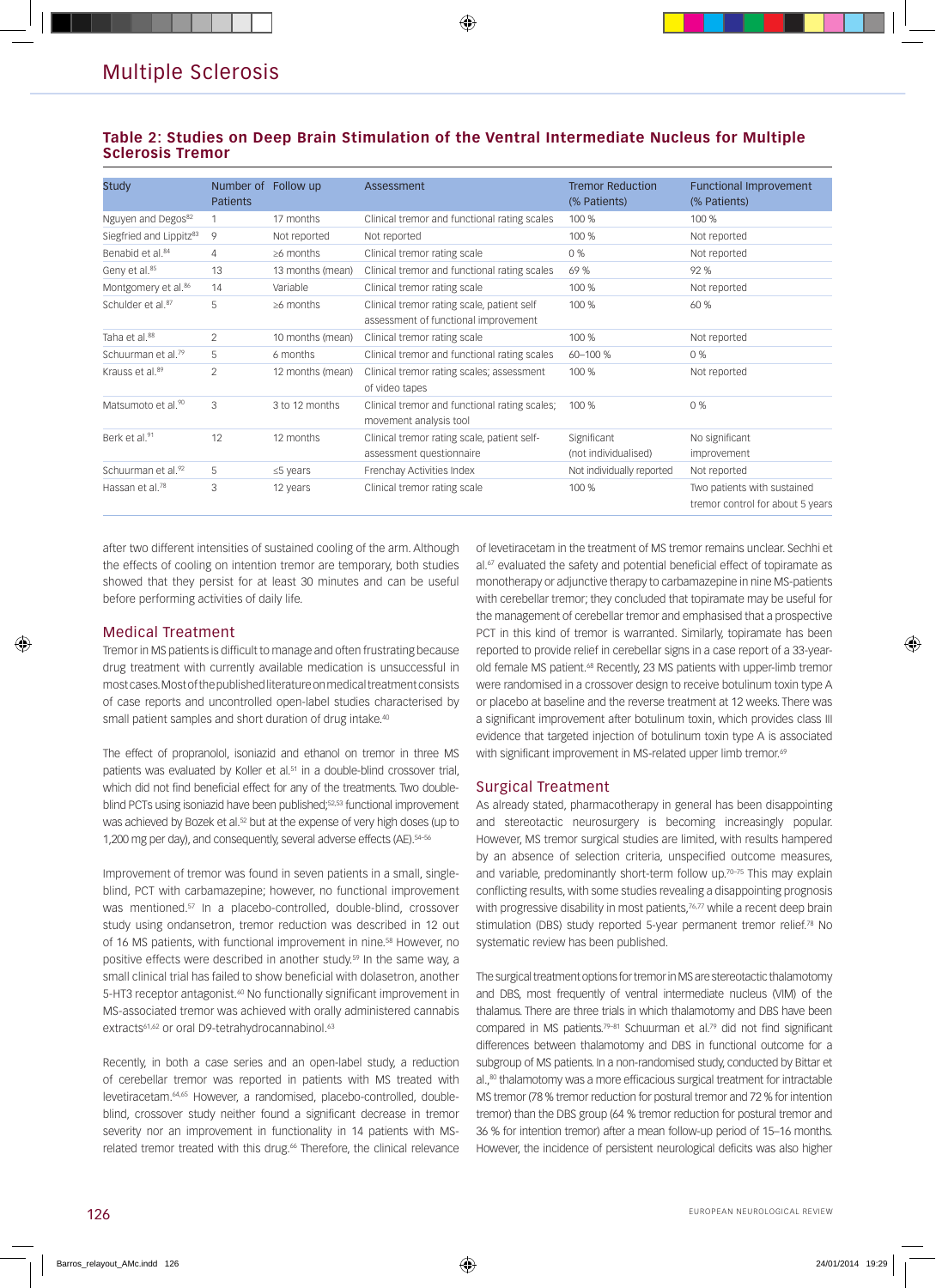### **Table 2: Studies on Deep Brain Stimulation of the Ventral Intermediate Nucleus for Multiple Sclerosis Tremor**

| <b>Study</b>                        | Number of<br><b>Patients</b> | Follow up        | Assessment                                                                         | <b>Tremor Reduction</b><br>(% Patients) | <b>Functional Improvement</b><br>(% Patients)                   |
|-------------------------------------|------------------------------|------------------|------------------------------------------------------------------------------------|-----------------------------------------|-----------------------------------------------------------------|
| Nguyen and Degos <sup>82</sup>      |                              | 17 months        | Clinical tremor and functional rating scales                                       | 100 %                                   | 100 %                                                           |
| Siegfried and Lippitz <sup>83</sup> | 9                            | Not reported     | Not reported                                                                       | 100 %                                   | Not reported                                                    |
| Benabid et al. <sup>84</sup>        | 4                            | $\geq 6$ months  | Clinical tremor rating scale                                                       | 0 %                                     | Not reported                                                    |
| Geny et al. <sup>85</sup>           | 13                           | 13 months (mean) | Clinical tremor and functional rating scales                                       | 69 %                                    | 92 %                                                            |
| Montgomery et al. <sup>86</sup>     | 14                           | Variable         | Clinical tremor rating scale                                                       | 100 %                                   | Not reported                                                    |
| Schulder et al. <sup>87</sup>       | 5                            | $\geq 6$ months  | Clinical tremor rating scale, patient self<br>assessment of functional improvement | 100 %                                   | 60 %                                                            |
| Taha et al. <sup>88</sup>           | $\overline{2}$               | 10 months (mean) | Clinical tremor rating scale                                                       | 100 %                                   | Not reported                                                    |
| Schuurman et al. <sup>79</sup>      | 5                            | 6 months         | Clinical tremor and functional rating scales                                       | 60-100 %                                | 0%                                                              |
| Krauss et al. <sup>89</sup>         | $\overline{2}$               | 12 months (mean) | Clinical tremor rating scales; assessment<br>of video tapes                        | 100 %                                   | Not reported                                                    |
| Matsumoto et al. <sup>90</sup>      | 3                            | 3 to 12 months   | Clinical tremor and functional rating scales;<br>movement analysis tool            | 100 %                                   | 0%                                                              |
| Berk et al.91                       | 12                           | 12 months        | Clinical tremor rating scale, patient self-<br>assessment questionnaire            | Significant<br>(not individualised)     | No significant<br>improvement                                   |
| Schuurman et al. <sup>92</sup>      | 5                            | $\leq$ 5 years   | Frenchay Activities Index                                                          | Not individually reported               | Not reported                                                    |
| Hassan et al. <sup>78</sup>         | 3                            | 12 years         | Clinical tremor rating scale                                                       | 100 %                                   | Two patients with sustained<br>tremor control for about 5 years |

after two different intensities of sustained cooling of the arm. Although the effects of cooling on intention tremor are temporary, both studies showed that they persist for at least 30 minutes and can be useful before performing activities of daily life.

### Medical Treatment

Tremor in MS patients is difficult to manage and often frustrating because drug treatment with currently available medication is unsuccessful in most cases. Most of the published literature on medical treatment consists of case reports and uncontrolled open-label studies characterised by small patient samples and short duration of drug intake.<sup>40</sup>

The effect of propranolol, isoniazid and ethanol on tremor in three MS patients was evaluated by Koller et al.<sup>51</sup> in a double-blind crossover trial, which did not find beneficial effect for any of the treatments. Two doubleblind PCTs using isoniazid have been published;52,53 functional improvement was achieved by Bozek et al.<sup>52</sup> but at the expense of very high doses (up to 1,200 mg per day), and consequently, several adverse effects (AE). 54-56

Improvement of tremor was found in seven patients in a small, singleblind, PCT with carbamazepine; however, no functional improvement was mentioned.57 In a placebo-controlled, double-blind, crossover study using ondansetron, tremor reduction was described in 12 out of 16 MS patients, with functional improvement in nine.<sup>58</sup> However, no positive effects were described in another study.<sup>59</sup> In the same way, a small clinical trial has failed to show beneficial with dolasetron, another 5-HT3 receptor antagonist.<sup>60</sup> No functionally significant improvement in MS-associated tremor was achieved with orally administered cannabis extracts<sup>61,62</sup> or oral D9-tetrahydrocannabinol.<sup>63</sup>

Recently, in both a case series and an open-label study, a reduction of cerebellar tremor was reported in patients with MS treated with levetiracetam.64,65 However, a randomised, placebo-controlled, doubleblind, crossover study neither found a significant decrease in tremor severity nor an improvement in functionality in 14 patients with MSrelated tremor treated with this drug.<sup>66</sup> Therefore, the clinical relevance

of levetiracetam in the treatment of MS tremor remains unclear. Sechhi et al.<sup>67</sup> evaluated the safety and potential beneficial effect of topiramate as monotherapy or adjunctive therapy to carbamazepine in nine MS-patients with cerebellar tremor; they concluded that topiramate may be useful for the management of cerebellar tremor and emphasised that a prospective PCT in this kind of tremor is warranted. Similarly, topiramate has been reported to provide relief in cerebellar signs in a case report of a 33-yearold female MS patient.<sup>68</sup> Recently, 23 MS patients with upper-limb tremor were randomised in a crossover design to receive botulinum toxin type A or placebo at baseline and the reverse treatment at 12 weeks. There was a significant improvement after botulinum toxin, which provides class III evidence that targeted injection of botulinum toxin type A is associated with significant improvement in MS-related upper limb tremor.<sup>69</sup>

### Surgical Treatment

As already stated, pharmacotherapy in general has been disappointing and stereotactic neurosurgery is becoming increasingly popular. However, MS tremor surgical studies are limited, with results hampered by an absence of selection criteria, unspecified outcome measures, and variable, predominantly short-term follow up.<sup>70-75</sup> This may explain conflicting results, with some studies revealing a disappointing prognosis with progressive disability in most patients,<sup>76,77</sup> while a recent deep brain stimulation (DBS) study reported 5-year permanent tremor relief.<sup>78</sup> No systematic review has been published.

The surgical treatment options for tremor in MS are stereotactic thalamotomy and DBS, most frequently of ventral intermediate nucleus (VIM) of the thalamus. There are three trials in which thalamotomy and DBS have been compared in MS patients.<sup>79-81</sup> Schuurman et al.<sup>79</sup> did not find significant differences between thalamotomy and DBS in functional outcome for a subgroup of MS patients. In a non-randomised study, conducted by Bittar et al.,<sup>80</sup> thalamotomy was a more efficacious surgical treatment for intractable MS tremor (78 % tremor reduction for postural tremor and 72 % for intention tremor) than the DBS group (64 % tremor reduction for postural tremor and 36 % for intention tremor) after a mean follow-up period of 15–16 months. However, the incidence of persistent neurological deficits was also higher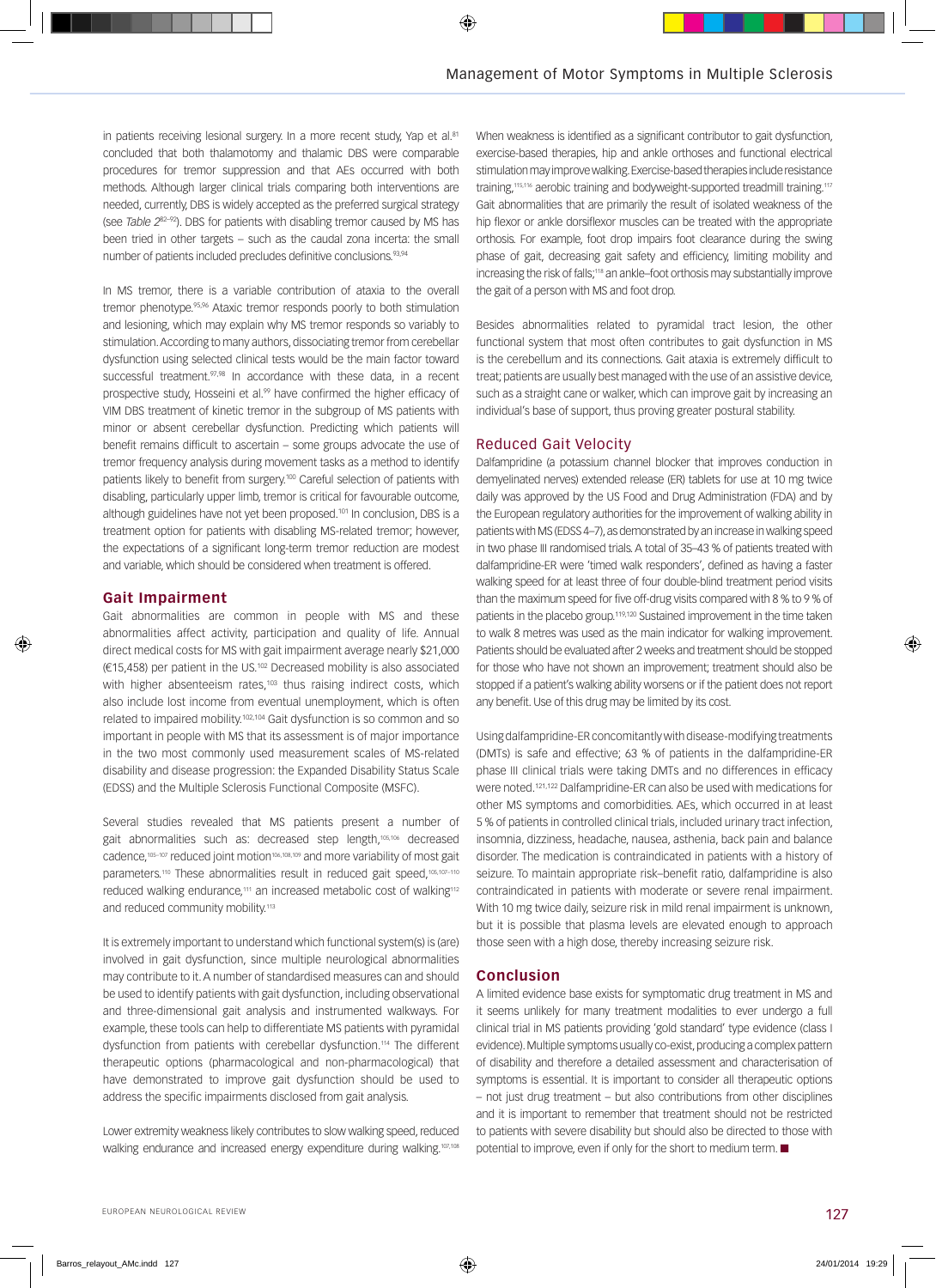in patients receiving lesional surgery. In a more recent study, Yap et al.81 concluded that both thalamotomy and thalamic DBS were comparable procedures for tremor suppression and that AEs occurred with both methods. Although larger clinical trials comparing both interventions are needed, currently, DBS is widely accepted as the preferred surgical strategy (see *Table 2*82–92). DBS for patients with disabling tremor caused by MS has been tried in other targets – such as the caudal zona incerta: the small number of patients included precludes definitive conclusions.<sup>93,94</sup>

In MS tremor, there is a variable contribution of ataxia to the overall tremor phenotype.<sup>95,96</sup> Ataxic tremor responds poorly to both stimulation and lesioning, which may explain why MS tremor responds so variably to stimulation. According to many authors, dissociating tremor from cerebellar dysfunction using selected clinical tests would be the main factor toward successful treatment.<sup>97,98</sup> In accordance with these data, in a recent prospective study, Hosseini et al.<sup>99</sup> have confirmed the higher efficacy of VIM DBS treatment of kinetic tremor in the subgroup of MS patients with minor or absent cerebellar dysfunction. Predicting which patients will benefit remains difficult to ascertain – some groups advocate the use of tremor frequency analysis during movement tasks as a method to identify patients likely to benefit from surgery.100 Careful selection of patients with disabling, particularly upper limb, tremor is critical for favourable outcome, although guidelines have not yet been proposed.<sup>101</sup> In conclusion, DBS is a treatment option for patients with disabling MS-related tremor; however, the expectations of a significant long-term tremor reduction are modest and variable, which should be considered when treatment is offered.

### **Gait Impairment**

Gait abnormalities are common in people with MS and these abnormalities affect activity, participation and quality of life. Annual direct medical costs for MS with gait impairment average nearly \$21,000 (€15,458) per patient in the US.102 Decreased mobility is also associated with higher absenteeism rates,<sup>103</sup> thus raising indirect costs, which also include lost income from eventual unemployment, which is often related to impaired mobility.102,104 Gait dysfunction is so common and so important in people with MS that its assessment is of major importance in the two most commonly used measurement scales of MS-related disability and disease progression: the Expanded Disability Status Scale (EDSS) and the Multiple Sclerosis Functional Composite (MSFC).

Several studies revealed that MS patients present a number of gait abnormalities such as: decreased step length,<sup>105,106</sup> decreased cadence,<sup>105-107</sup> reduced joint motion<sup>106,108,109</sup> and more variability of most gait parameters.<sup>110</sup> These abnormalities result in reduced gait speed,<sup>105,107-110</sup> reduced walking endurance,<sup>111</sup> an increased metabolic cost of walking<sup>112</sup> and reduced community mobility.<sup>113</sup>

It is extremely important to understand which functional system(s) is (are) involved in gait dysfunction, since multiple neurological abnormalities may contribute to it. A number of standardised measures can and should be used to identify patients with gait dysfunction, including observational and three-dimensional gait analysis and instrumented walkways. For example, these tools can help to differentiate MS patients with pyramidal dysfunction from patients with cerebellar dysfunction.114 The different therapeutic options (pharmacological and non-pharmacological) that have demonstrated to improve gait dysfunction should be used to address the specific impairments disclosed from gait analysis.

Lower extremity weakness likely contributes to slow walking speed, reduced walking endurance and increased energy expenditure during walking.107,108

When weakness is identified as a significant contributor to gait dysfunction, exercise-based therapies, hip and ankle orthoses and functional electrical stimulation may improve walking. Exercise-based therapies include resistance training,<sup>115,116</sup> aerobic training and bodyweight-supported treadmill training.<sup>117</sup> Gait abnormalities that are primarily the result of isolated weakness of the hip flexor or ankle dorsiflexor muscles can be treated with the appropriate orthosis. For example, foot drop impairs foot clearance during the swing phase of gait, decreasing gait safety and efficiency, limiting mobility and increasing the risk of falls;<sup>118</sup> an ankle–foot orthosis may substantially improve the gait of a person with MS and foot drop.

Besides abnormalities related to pyramidal tract lesion, the other functional system that most often contributes to gait dysfunction in MS is the cerebellum and its connections. Gait ataxia is extremely difficult to treat; patients are usually best managed with the use of an assistive device, such as a straight cane or walker, which can improve gait by increasing an individual's base of support, thus proving greater postural stability.

### Reduced Gait Velocity

Dalfampridine (a potassium channel blocker that improves conduction in demyelinated nerves) extended release (ER) tablets for use at 10 mg twice daily was approved by the US Food and Drug Administration (FDA) and by the European regulatory authorities for the improvement of walking ability in patients with MS (EDSS 4–7), as demonstrated by an increase in walking speed in two phase III randomised trials. A total of 35–43 % of patients treated with dalfampridine-ER were 'timed walk responders', defined as having a faster walking speed for at least three of four double-blind treatment period visits than the maximum speed for five off-drug visits compared with 8 % to 9 % of patients in the placebo group.119,120 Sustained improvement in the time taken to walk 8 metres was used as the main indicator for walking improvement. Patients should be evaluated after 2 weeks and treatment should be stopped for those who have not shown an improvement; treatment should also be stopped if a patient's walking ability worsens or if the patient does not report any benefit. Use of this drug may be limited by its cost.

Using dalfampridine-ER concomitantly with disease-modifying treatments (DMTs) is safe and effective; 63 % of patients in the dalfampridine-ER phase III clinical trials were taking DMTs and no differences in efficacy were noted.121,122 Dalfampridine-ER can also be used with medications for other MS symptoms and comorbidities. AEs, which occurred in at least 5 % of patients in controlled clinical trials, included urinary tract infection, insomnia, dizziness, headache, nausea, asthenia, back pain and balance disorder. The medication is contraindicated in patients with a history of seizure. To maintain appropriate risk–benefit ratio, dalfampridine is also contraindicated in patients with moderate or severe renal impairment. With 10 mg twice daily, seizure risk in mild renal impairment is unknown, but it is possible that plasma levels are elevated enough to approach those seen with a high dose, thereby increasing seizure risk.

### **Conclusion**

A limited evidence base exists for symptomatic drug treatment in MS and it seems unlikely for many treatment modalities to ever undergo a full clinical trial in MS patients providing 'gold standard' type evidence (class I evidence). Multiple symptoms usually co-exist, producing a complex pattern of disability and therefore a detailed assessment and characterisation of symptoms is essential. It is important to consider all therapeutic options – not just drug treatment – but also contributions from other disciplines and it is important to remember that treatment should not be restricted to patients with severe disability but should also be directed to those with potential to improve, even if only for the short to medium term.  $\blacksquare$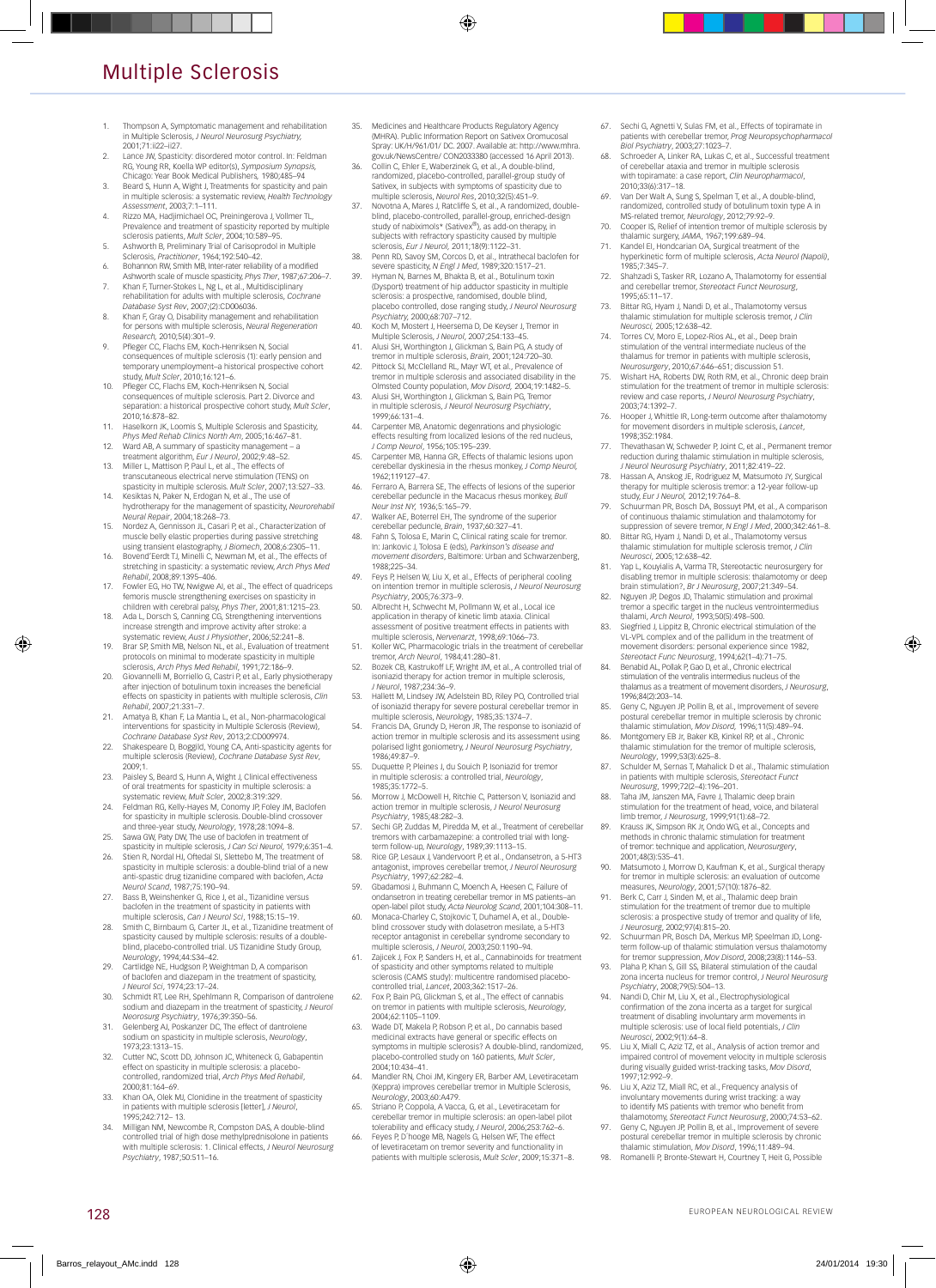# Multiple Sclerosis

- 1. Thompson A, Symptomatic management and rehabilitation in Multiple Sclerosis, *J Neurol Neurosurg Psychiatry,* 2001;71:ii22–ii27.
- 2. Lance JW, Spasticity: disordered motor control. In: Feldman RG, Young RR, Koella WP editor(s), *Symposium Synopsis,*  Chicago: Year Book Medical Publishers*,* 1980;485–94
- 3. Beard S, Hunn A, Wight J, Treatments for spasticity and pain in multiple sclerosis: a systematic review, *Health Technology Assessment*, 2003;7:1–111. 4. Rizzo MA, Hadjimichael OC, Preiningerova J, Vollmer TL,
- Prevalence and treatment of spasticity reported by multiple sclerosis patients, *Mult Scler*, 2004;10:589–95.
- 5. Ashworth B, Preliminary Trial of Carisoprodol in Multiple Sclerosis, *Practitioner*, 1964;192:540–42.
- 6. Bohannon RW, Smith MB, Inter-rater reliability of a modified
- Ashworth scale of muscle spasticity, *Phys Ther*, 1987;67:206–7. 7. Khan F, Turner-Stokes L, Ng L, et al., Multidisciplinary rehabilitation for adults with multiple sclerosis, *Cochrane Database Syst Rev*, 2007;(2):CD006036.
- 8. Khan F, Gray O, Disability management and rehabilitation for persons with multiple sclerosis, *Neural Regeneration Research,* 2010;5(4):301–9.
- 9. Pfleger CC, Flachs EM, Koch-Henriksen N, Social consequences of multiple sclerosis (1): early pension and temporary unemployment–a historical prospective cohort study, *Mult Scler*, 2010;16:121–6.
- 10. Pfleger CC, Flachs EM, Koch-Henriksen N, Social consequences of multiple sclerosis. Part 2. Divorce and separation: a historical prospective cohort study, *Mult Scler*, 2010;16:878–82.
- 11. Haselkorn JK, Loomis S, Multiple Sclerosis and Spasticity, *Phys Med Rehab Clinics North Am*, 2005;16:467–81.
- 12. Ward AB, A summary of spasticity management a treatment algorithm, *Eur J Neurol*, 2002;9:48–52.
- 13. Miller L, Mattison P, Paul L, et al., The effects of transcutaneous electrical nerve stimulation (TENS) on spasticity in multiple sclerosis. *Mult Scler*, 2007;13:527–33. 14. Kesiktas N, Paker N, Erdogan N, et al., The use of
- hydrotherapy for the management of spasticity, *Neurorehabil Neural Repair*, 2004;18:268–73.
- 15. Nordez A, Gennisson JL, Casari P, et al., Characterization of muscle belly elastic properties during passive stretching
- using transient elastography, *J Biomech*, 2008;6:2305–11. 16. Bovend'Eerdt TJ, Minelli C, Newman M, et al., The effects of stretching in spasticity: a systematic review, *Arch Phys Med Rehabil*, 2008;89:1395–406.
- 17. Fowler EG, Ho TW, Nwigwe AI, et al., The effect of quadriceps femoris muscle strengthening exercises on spasticity in
- children with cerebral palsy, *Phys Ther*, 2001;81:1215–23. 18. Ada L, Dorsch S, Canning CG, Strengthening interventions increase strength and improve activity after stroke: a systematic review, *Aust J Physiother*, 2006;52:241–8.
- 19. Brar SP, Smith MB, Nelson NL, et al., Evaluation of treatment protocols on minimal to moderate spasticity in multiple
- sclerosis, *Arch Phys Med Rehabil*, 1991;72:186–9. 20. Giovannelli M, Borriello G, Castri P, et al., Early physiotherapy after injection of botulinum toxin increases the beneficial effects on spasticity in patients with multiple sclerosis, *Clin Rehabil*, 2007;21:331–7.
- 21. Amatya B, Khan F, La Mantia L, et al., Non-pharmacological interventions for spasticity in Multiple Sclerosis (Review), *Cochrane Database Syst Rev*, 2013;2:CD009974.
- 22. Shakespeare D, Boggild, Young CA, Anti-spasticity agents for multiple sclerosis (Review), *Cochrane Database Syst Rev*, 2009;1.
- 23. Paisley S, Beard S, Hunn A, Wight J, Clinical effectiveness of oral treatments for spasticity in multiple sclerosis: a systematic review, *Mult Scler*, 2002;8:319:329.
- 24. Feldman RG, Kelly-Hayes M, Conomy JP, Foley JM, Baclofen for spasticity in multiple sclerosis. Double-blind crossover
- and three-year study, *Neurology*, 1978;28:1094–8. 25. Sawa GW, Paty DW, The use of baclofen in treatment of spasticity in multiple sclerosis, *J Can Sci Neurol*, 1979;6:351–4. 26. Stien R, Nordal HJ, Oftedal SI, Slettebo M, The treatment of
- spasticity in multiple sclerosis: a double-blind trial of a new anti-spastic drug tizanidine compared with baclofen, *Acta Neurol Scand*, 1987;75:190–94.
- 27. Bass B, Weinshenker G, Rice J, et al., Tizanidine versus baclofen in the treatment of spasticity in patients with multiple sclerosis, *Can J Neurol Sci*, 1988;15:15–19.
- 28. Smith C, Birnbaum G, Carter JL, et al., Tizanidine treatment of spasticity caused by multiple sclerosis: results of a double-blind, placebo-controlled trial. US Tizanidine Study Group,
- *Neurology*, 1994;44:S34–42. 29. Cartlidge NE, Hudgson P, Weightman D, A comparison of baclofen and diazepam in the treatment of spasticity, *J Neurol Sci*, 1974;23:17–24.
- 30. Schmidt RT, Lee RH, Spehlmann R, Comparison of dantrolene sodium and diazepam in the treatment of spasticity, *J Neurol*
- *Neorosurg Psychiatry*, 1976;39:350–56. 31. Gelenberg AJ, Poskanzer DC, The effect of dantrolene sodium on spasticity in multiple sclerosis, *Neurology*, 1973;23:1313–15.
- 32. Cutter NC, Scott DD, Johnson JC, Whiteneck G, Gabapentin effect on spasticity in multiple sclerosis: a placebocontrolled, randomized trial, *Arch Phys Med Rehabil*, 2000;81:164–69.
- 33. Khan OA, Olek MJ, Clonidine in the treatment of spasticity in patients with multiple sclerosis [letter], *J Neurol*, 1995;242:712– 13.
- 34. Milligan NM, Newcombe R, Compston DAS, A double-blind controlled trial of high dose methylprednisolone in patients with multiple sclerosis: 1. Clinical effects, *J Neurol Neurosurg Psychiatry*, 1987;50:511–16.

128

- 35. Medicines and Healthcare Products Regulatory Agency (MHRA). Public Information Report on Sativex Oromucosal Spray: UK/H/961/01/ DC. 2007. Available at: http://www.mhra. gov.uk/NewsCentre/ CON2033380 (accessed 16 April 2013).
- 36. Collin C, Ehler E, Waberzinek G, et al., A double-blind, randomized, placebo-controlled, parallel-group study of Sativex, in subjects with symptoms of spasticity due
- multiple sclerosis, *Neurol Res*, 2010;32(5):451–9. 37. Novotna A, Mares J, Ratcliffe S, et al., A randomized, double-blind, placebo-controlled, parallel-group, enriched-design study of nabiximols\* (Sativex®), as add-on therapy, in subjects with refractory spasticity caused by multiple sclerosis, *Eur J Neurol,* 2011;18(9):1122–31.
- 38. Penn RD, Savoy SM, Corcos D, et al., Intrathecal baclofen for severe spasticity, *N Engl J Med*, 1989;320:1517–21.
- 39. Hyman N, Barnes M, Bhakta B, et al., Botulinum toxin (Dysport) treatment of hip adductor spasticity in multiple sclerosis: a prospective, randomised, double blind, placebo controlled, dose ranging study, *J Neurol Neurosurg*
- *Psychiatry,* 2000;68:707–712. 40. Koch M, Mostert J, Heersema D, De Keyser J, Tremor in Multiple Sclerosis, *J Neurol*, 2007;254:133–45.
- 41. Alusi SH, Worthington J, Glickman S, Bain PG, A study of tremor in multiple sclerosis, *Brain*, 2001;124:720–30.
- 42. Pittock SJ, McClelland RL, Mayr WT, et al., Prevalence of tremor in multiple sclerosis and associated disability in the
- Olmsted County population, *Mov Disord,* 2004;19:1482–5. 43. Alusi SH, Worthington J, Glickman S, Bain PG, Tremor in multiple sclerosis, *J Neurol Neurosurg Psychiatry*, 1999;66:131–4.
- 44. Carpenter MB, Anatomic degenrations and physiologic<br>effects resulting from localized lesions of the red nucleus,<br>*J Comp Neurol*, 1956;105:195–239.<br>45. Carpenter MB, Hanna GR, Effects of thalamic lesions upon
- cerebellar dyskinesia in the rhesus monkey, *J Comp Neurol,* 1962;119127–47.
- 46. Ferraro A, Barrera SE, The effects of lesions of the superior cerebellar peduncle in the Macacus rhesus monkey, *Bull Neur Inst NY,* 1936;5:165–79.
- 47. Walker AE, Boterrel EH, The syndrome of the superior cerebellar peduncle, *Brain*, 1937;60:327–41. 48. Fahn S, Tolosa E, Marin C, Clinical rating scale for tremor.
- In: Jankovic J, Tolosa E (eds), *Parkinson's disease and movement disorders*, Baltimore: Urban and Schwarzenberg, 1988;225–34.
- 49. Feys P, Helsen W, Liu X, et al., Effects of peripheral cooling on intention tremor in multiple sclerosis, *J Neurol Neurosurg Psychiatry*, 2005;76:373–9.
- 50. Albrecht H, Schwecht M, Pollmann W, et al., Local ice application in therapy of kinetic limb ataxia. Clinical assessment of positive treatment effects in patients with multiple sclerosis, *Nervenarzt*, 1998;69:1066–73.
- 51. Koller WC, Pharmacologic trials in the treatment of cerebellar tremor, *Arch Neurol*, 1984;41:280–81.
- 52. Bozek CB, Kastrukoff LF, Wright JM, et al., A controlled trial of isoniazid therapy for action tremor in multiple sclerosis,
- *J Neurol*, 1987;234:36–9. 53. Hallett M, Lindsey JW, Adelstein BD, Riley PO, Controlled trial of isoniazid therapy for severe postural cerebellar tremor in multiple sclerosis, *Neurology*, 1985;35:1374–7.
- 54. Francis DA, Grundy D, Heron JR, The response to isoniazid of action tremor in multiple sclerosis and its assessment using polarised light goniometry, *J Neurol Neurosurg Psychiatry*, 1986;49:87–9. 55. Duquette P, Pleines J, du Souich P, Isoniazid for tremor
- in multiple sclerosis: a controlled trial, *Neurology*, 1985;35:1772–5.
- 56. Morrow J, McDowell H, Ritchie C, Patterson V, Isoniazid and action tremor in multiple sclerosis, *J Neurol Neurosurg Psychiatry*, 1985;48:282–3.
- 57. Sechi GP, Zuddas M, Piredda M, et al., Treatment of cerebellar tremors with carbamazepine: a controlled trial with long-
- term follow-up, *Neurology*, 1989;39:1113–15. 58. Rice GP, Lesaux J, Vandervoort P, et al., Ondansetron, a 5-HT3 antagonist, improves cerebellar tremor, *J Neurol Neurosurg Psychiatry*, 1997;62:282–4. 59. Gbadamosi J, Buhmann C, Moench A, Heesen C, Failure of
- ondansetron in treating cerebellar tremor in MS patients–an open-label pilot study, *Acta Neurolog Scand*, 2001;104:308–11.
- Monaca-Charley C, Stojkovic T, Duhamel A, et al., Doubleblind crossover study with dolasetron mesilate, a 5-HT3 receptor antagonist in cerebellar syndrome secondary to multiple sclerosis, *J Neurol*, 2003;250:1190–94.
- 61. Zajicek J, Fox P, Sanders H, et al., Cannabinoids for treatment of spasticity and other symptoms related to multiple sclerosis (CAMS study): multicentre randomised placebocontrolled trial, *Lancet*, 2003;362:1517–26.
- 62. Fox P, Bain PG, Glickman S, et al., The effect of cannabis on tremor in patients with multiple sclerosis, *Neurology*, 2004;62:1105–1109.
- 63. Wade DT, Makela P, Robson P, et al., Do cannabis based medicinal extracts have general or specific effects on symptoms in multiple sclerosis? A double-blind, randomized, placebo-controlled study on 160 patients, *Mult Scler*, 2004;10:434–41.
- Mandler RN, Choi JM, Kingery ER, Barber AM, Levetiracetam (Keppra) improves cerebellar tremor in Multiple Sclerosis, *Neurology*, 2003;60:A479.
- 65. Striano P, Coppola, A Vacca, G, et al., Levetiracetam for
- cerebellar tremor in multiple sclerosis: an open-label pilot<br>tolerability and efficacy study, *J Neurol*, 2006;253:762–6.<br>66. Feyes P, D'hooge MB, Nagels G, Helsen WF, The effect<br>of levetiracetam on tremor severity and fun patients with multiple sclerosis, *Mult Scler*, 2009;15:371–8.
- Sechi G, Agnetti V, Sulas FM, et al., Effects of topiramate in patients with cerebellar tremor, *Prog Neuropsychopharmacol Biol Psychiatry*, 2003;27:1023–7. 68. Schroeder A, Linker RA, Lukas C, et al., Successful treatment
- of cerebellar ataxia and tremor in multiple sclerosis with topiramate: a case report, *Clin Neuropharmacol*,
- 2010;33(6):317–18.<br>
69. Van Der Walt A, Sung S, Spelman T, et al., A double-blind,<br>
van Der Walt A, Sung S, Spelman T, et al., A double-blind,<br>
randomized, controlled study of botulinum toxin type A in<br>
MS-related tremor,
- 
- 71. Kandel EI, Hondcarian OA, Surgical treatment of the hyperkinetic form of multiple sclerosis, *Acta Neurol (Napoli)*, 1985;7:345–7.
- 72. Shahzadi S, Tasker RR, Lozano A, Thalamotomy for essential and cerebellar tremor, *Stereotact Funct Neurosurg*, 1995;65:11–17.
- Bittar RG, Hyam J, Nandi D, et al., Thalamotomy versus thalamic stimulation for multiple sclerosis tremor, *J Clin Neurosci,* 2005;12:638–42.
- 74. Torres CV, Moro E, Lopez-Rios AL, et al., Deep brain stimulation of the ventral intermediate nucleus of the thalamus for tremor in patients with multiple sclerosis,
- *Neurosurgery*, 2010;67:646–651; discussion 51. 75. Wishart HA, Roberts DW, Roth RM, et al., Chronic deep brain stimulation for the treatment of tremor in multiple sclerosis review and case reports, *J Neurol Neurosurg Psychiatry*,
- 2003;74:1392–7. 76. Hooper J, Whittle IR, Long-term outcome after thalamotomy for movement disorders in multiple sclerosis, *Lancet*,
- 1998;352:1984.<br>The vathasan W, Schweder P, Joint C, et al., Permanent tremor<br>reduction during thalamic stimulation in multiple sclerosis,<br>*I Neurol Neurosurg Psychiatry*, 2011;82:419–22.<br>T8. Hassan A, Anskog JE, Rodriguez
- therapy for multiple sclerosis tremor: a 12-year follow-up study, *Eur J Neurol,* 2012;19:764–8.
- 79. Schuurman PR, Bosch DA, Bossuyt PM, et al., A comparison of continuous thalamic stimulation and thalamotomy for
- suppression of severe tremor, *N Engl J Med*, 2000;342:461–8. 80. Bittar RG, Hyam J, Nandi D, et al., Thalamotomy versus thalamic stimulation for multiple sclerosis tremor, *J Clin Neurosci*, 2005;12:638–42.
- 81. Yap L, Kouyialis A, Varma TR, Stereotactic neurosurgery for disabling tremor in multiple sclerosis: thalamotomy or deep
- brain stimulation?, *Br J Neurosurg*, 2007;21:349–54. 82. Nguyen JP, Degos JD, Thalamic stimulation and proximal
- tremor a specific target in the nucleus ventrointermedius<br>thalami, *Arch Neurol*, 1993;50(5):498-500.<br>Siegfried J, Lippitz B, Chronic electrical stimulation of the<br>VL-VPL complex and of the pallidum in the treatment of movement disorders: personal experience since 1982, *Stereotact Func Neurosurg*, 1994;62(1–4):71–75.
- 84. Benabid AL, Pollak P, Gao D, et al., Chronic electrical stimulation of the ventralis intermedius nucleus of the thalamus as a treatment of movement disorders, *J Neurosurg*, 1996;84(2):203–14.
- 85. Geny C, Nguyen JP, Pollin B, et al., Improvement of severe postural cerebellar tremor in multiple sclerosis by chronic
- thalamic stimulation, *Mov Disord,* 1996;11(5):489–94. 86. Montgomery EB Jr, Baker KB, Kinkel RP, et al., Chronic thalamic stimulation for the tremor of multiple sclerosis, *Neurology*, 1999;53(3):625–8. 87. Schulder M, Sernas T, Mahalick D et al., Thalamic stimulation
- in patients with multiple sclerosis, *Stereotact Funct*
- *Neurosurg*, 1999;72(2–4):196–201. 88. Taha JM, Janszen MA, Favre J, Thalamic deep brain
- stimulation for the treatment of head, voice, and bilateral<br>limb tremor, *J Neurosurg*, 1999;91(1):68–72.<br>89. Krauss JK, Simpson RK Jr, Ondo WG, et al., Concepts and methods in chronic thalamic stimulation for treatment of tremor: technique and application, *Neurosurgery*,
- 2001;48(3):535–41. 90. Matsumoto J, Morrow D, Kaufman K, et al., Surgical therapy<br>for tremor in multiple sclerosis: an evaluation of outcome<br>measures, *Neurology*, 2001;57(10):1876–82.<br>91. Berk C, Carr J, Sinden M, et al., Thalamic deep brai
- stimulation for the treatment of tremor due to multiple sclerosis: a prospective study of tremor and quality of life,
- *J Neurosurg*, 2002;97(4):815–20. 92. Schuurman PR, Bosch DA, Merkus MP, Speelman JD, Long-term follow-up of thalamic stimulation versus thalamotomy for tremor suppression, *Mov Disord*, 2008;23(8):1146–53.
- 93. Plaha P, Khan S, Gill SS, Bilateral stimulation of the caudal zona incerta nucleus for tremor control, *J Neurol Neurosurg*
- *Psychiatry*, 2008;79(5):504–13. 94. Nandi D, Chir M, Liu X, et al., Electrophysiological confirmation of the zona incerta as a target for surgical treatment of disabling involuntary arm movements in multiple sclerosis: use of local field potentials, *J Clin Neurosci*, 2002;9(1):64–8.
- 95. Liu X, Miall C, Aziz TZ, et al., Analysis of action tremor and impaired control of movement velocity in multiple sclerosis during visually guided wrist-tracking tasks, *Mov Disord*,
- 1997;12:992–9. 96. Liu X, Aziz TZ, Miall RC, et al., Frequency analysis of involuntary movements during wrist tracking: a way to identify MS patients with tremor who benefit from thalamotomy, *Stereotact Funct Neurosurg*, 2000;74:53–62.
- 97. Geny C, Nguyen JP, Pollin B, et al., Improvement of severe postural cerebellar tremor in multiple sclerosis by chronic thalamic stimulation, *Mov Disord*, 1996;11:489–94.
- Romanelli P, Bronte-Stewart H, Courtney T, Heit G, Possible